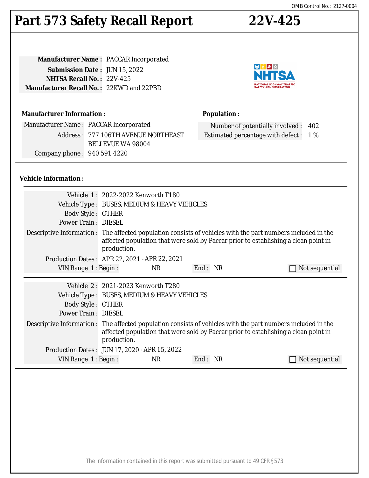## **Part 573 Safety Recall Report 22V-425**

| <b>Manufacturer Name: PACCAR Incorporated</b> |
|-----------------------------------------------|
| <b>Submission Date: JUN 15, 2022</b>          |
| <b>NHTSA Recall No.: 22V-425</b>              |
| Manufacturer Recall No.: 22KWD and 22PBD      |
|                                               |

#### **Manufacturer Information :**

Manufacturer Name : PACCAR Incorporated Address : 777 106TH AVENUE NORTHEAST BELLEVUE WA 98004 Company phone : 940 591 4220

#### **Vehicle Information :**

| <b>Body Style: OTHER</b><br><b>Power Train: DIESEL</b> | Vehicle 1: 2022-2022 Kenworth T180<br>Vehicle Type : BUSES, MEDIUM & HEAVY VEHICLES |     |         |                                                                                                                                                                                                     |
|--------------------------------------------------------|-------------------------------------------------------------------------------------|-----|---------|-----------------------------------------------------------------------------------------------------------------------------------------------------------------------------------------------------|
|                                                        | production.                                                                         |     |         | Descriptive Information : The affected population consists of vehicles with the part numbers included in the<br>affected population that were sold by Paccar prior to establishing a clean point in |
| Production Dates : APR 22, 2021 - APR 22, 2021         |                                                                                     |     |         |                                                                                                                                                                                                     |
| VIN Range 1: Begin:                                    |                                                                                     | NR. | End: NR | Not sequential                                                                                                                                                                                      |
|                                                        |                                                                                     |     |         |                                                                                                                                                                                                     |
|                                                        | Vehicle 2: 2021-2023 Kenworth T280                                                  |     |         |                                                                                                                                                                                                     |
|                                                        | Vehicle Type : BUSES, MEDIUM & HEAVY VEHICLES                                       |     |         |                                                                                                                                                                                                     |
| Body Style: OTHER                                      |                                                                                     |     |         |                                                                                                                                                                                                     |
| <b>Power Train: DIESEL</b>                             |                                                                                     |     |         |                                                                                                                                                                                                     |
|                                                        | production.                                                                         |     |         | Descriptive Information : The affected population consists of vehicles with the part numbers included in the<br>affected population that were sold by Paccar prior to establishing a clean point in |
| Production Dates: JUN 17, 2020 - APR 15, 2022          |                                                                                     |     |         |                                                                                                                                                                                                     |
| VIN Range $1:$ Begin :                                 |                                                                                     | NR  | End: NR | Not sequential                                                                                                                                                                                      |





Number of potentially involved : 402 Estimated percentage with defect : 1 %

**Population :**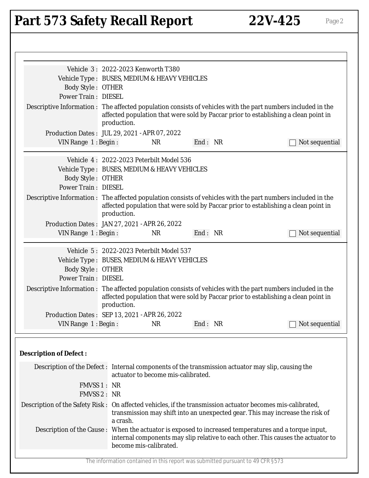# Part 573 Safety Recall Report 22V-425 Page 2

| Vehicle 3: 2022-2023 Kenworth T380                                                                                                                                                                                 |                        |                                                                                |         |  |                                                                                     |
|--------------------------------------------------------------------------------------------------------------------------------------------------------------------------------------------------------------------|------------------------|--------------------------------------------------------------------------------|---------|--|-------------------------------------------------------------------------------------|
| Vehicle Type : BUSES, MEDIUM & HEAVY VEHICLES                                                                                                                                                                      |                        |                                                                                |         |  |                                                                                     |
| <b>Body Style: OTHER</b>                                                                                                                                                                                           |                        |                                                                                |         |  |                                                                                     |
| <b>Power Train: DIESEL</b>                                                                                                                                                                                         |                        |                                                                                |         |  |                                                                                     |
| Descriptive Information : The affected population consists of vehicles with the part numbers included in the<br>affected population that were sold by Paccar prior to establishing a clean point in<br>production. |                        |                                                                                |         |  |                                                                                     |
| Production Dates: JUL 29, 2021 - APR 07, 2022                                                                                                                                                                      |                        |                                                                                |         |  |                                                                                     |
| VIN Range $1:$ Begin:                                                                                                                                                                                              |                        | <b>NR</b>                                                                      | End: NR |  | Not sequential                                                                      |
|                                                                                                                                                                                                                    |                        |                                                                                |         |  |                                                                                     |
|                                                                                                                                                                                                                    |                        | Vehicle 4: 2022-2023 Peterbilt Model 536                                       |         |  |                                                                                     |
| Vehicle Type : BUSES, MEDIUM & HEAVY VEHICLES                                                                                                                                                                      |                        |                                                                                |         |  |                                                                                     |
| <b>Body Style: OTHER</b>                                                                                                                                                                                           |                        |                                                                                |         |  |                                                                                     |
| <b>Power Train: DIESEL</b>                                                                                                                                                                                         |                        |                                                                                |         |  |                                                                                     |
| Descriptive Information : The affected population consists of vehicles with the part numbers included in the                                                                                                       |                        |                                                                                |         |  |                                                                                     |
|                                                                                                                                                                                                                    |                        |                                                                                |         |  | affected population that were sold by Paccar prior to establishing a clean point in |
|                                                                                                                                                                                                                    | production.            |                                                                                |         |  |                                                                                     |
| Production Dates: JAN 27, 2021 - APR 26, 2022                                                                                                                                                                      |                        |                                                                                |         |  |                                                                                     |
| VIN Range 1: Begin:                                                                                                                                                                                                |                        | <b>NR</b>                                                                      | End: NR |  | Not sequential                                                                      |
|                                                                                                                                                                                                                    |                        |                                                                                |         |  |                                                                                     |
|                                                                                                                                                                                                                    |                        | Vehicle 5: 2022-2023 Peterbilt Model 537                                       |         |  |                                                                                     |
| Vehicle Type : BUSES, MEDIUM & HEAVY VEHICLES                                                                                                                                                                      |                        |                                                                                |         |  |                                                                                     |
| <b>Body Style: OTHER</b>                                                                                                                                                                                           |                        |                                                                                |         |  |                                                                                     |
| <b>Power Train: DIESEL</b>                                                                                                                                                                                         |                        |                                                                                |         |  |                                                                                     |
| Descriptive Information : The affected population consists of vehicles with the part numbers included in the                                                                                                       |                        |                                                                                |         |  |                                                                                     |
|                                                                                                                                                                                                                    |                        |                                                                                |         |  | affected population that were sold by Paccar prior to establishing a clean point in |
|                                                                                                                                                                                                                    | production.            |                                                                                |         |  |                                                                                     |
| Production Dates: SEP 13, 2021 - APR 26, 2022                                                                                                                                                                      |                        |                                                                                |         |  |                                                                                     |
| VIN Range 1: Begin:                                                                                                                                                                                                |                        | NR                                                                             | End: NR |  | Not sequential                                                                      |
|                                                                                                                                                                                                                    |                        |                                                                                |         |  |                                                                                     |
|                                                                                                                                                                                                                    |                        |                                                                                |         |  |                                                                                     |
| <b>Description of Defect:</b>                                                                                                                                                                                      |                        |                                                                                |         |  |                                                                                     |
|                                                                                                                                                                                                                    |                        |                                                                                |         |  |                                                                                     |
| Description of the Defect : Internal components of the transmission actuator may slip, causing the                                                                                                                 |                        | actuator to become mis-calibrated.                                             |         |  |                                                                                     |
| FMVSS 1 : NR                                                                                                                                                                                                       |                        |                                                                                |         |  |                                                                                     |
| FMVSS 2 : NR                                                                                                                                                                                                       |                        |                                                                                |         |  |                                                                                     |
| Description of the Safety Risk: On affected vehicles, if the transmission actuator becomes mis-calibrated,                                                                                                         | a crash.               | transmission may shift into an unexpected gear. This may increase the risk of  |         |  |                                                                                     |
| Description of the Cause: When the actuator is exposed to increased temperatures and a torque input,                                                                                                               |                        |                                                                                |         |  |                                                                                     |
|                                                                                                                                                                                                                    |                        |                                                                                |         |  | internal components may slip relative to each other. This causes the actuator to    |
|                                                                                                                                                                                                                    | become mis-calibrated. |                                                                                |         |  |                                                                                     |
|                                                                                                                                                                                                                    |                        |                                                                                |         |  |                                                                                     |
|                                                                                                                                                                                                                    |                        | The information contained in this report was submitted pursuant to 49 CFR §573 |         |  |                                                                                     |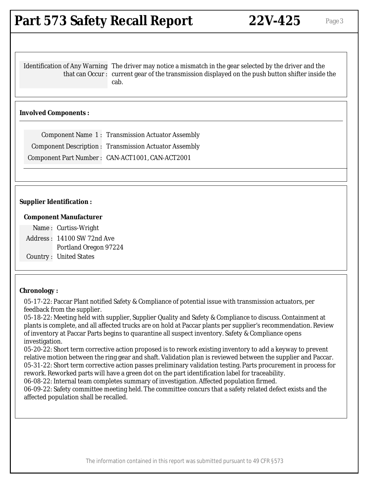### **Part 573 Safety Recall Report 22V-425** Page 3

Identification of Any Warning The driver may notice a mismatch in the gear selected by the driver and the that can Occur : current gear of the transmission displayed on the push button shifter inside the cab.

#### **Involved Components :**

Component Name 1 : Transmission Actuator Assembly Component Description : Transmission Actuator Assembly Component Part Number : CAN-ACT1001, CAN-ACT2001

#### **Supplier Identification :**

#### **Component Manufacturer**

Name : Curtiss-Wright Address : 14100 SW 72nd Ave Portland Oregon 97224 Country : United States

#### **Chronology :**

05-17-22: Paccar Plant notified Safety & Compliance of potential issue with transmission actuators, per feedback from the supplier.

05-18-22: Meeting held with supplier, Supplier Quality and Safety & Compliance to discuss. Containment at plants is complete, and all affected trucks are on hold at Paccar plants per supplier's recommendation. Review of inventory at Paccar Parts begins to quarantine all suspect inventory. Safety & Compliance opens investigation.

05-20-22: Short term corrective action proposed is to rework existing inventory to add a keyway to prevent relative motion between the ring gear and shaft. Validation plan is reviewed between the supplier and Paccar. 05-31-22: Short term corrective action passes preliminary validation testing. Parts procurement in process for rework. Reworked parts will have a green dot on the part identification label for traceability.

06-08-22: Internal team completes summary of investigation. Affected population firmed.

06-09-22: Safety committee meeting held. The committee concurs that a safety related defect exists and the affected population shall be recalled.